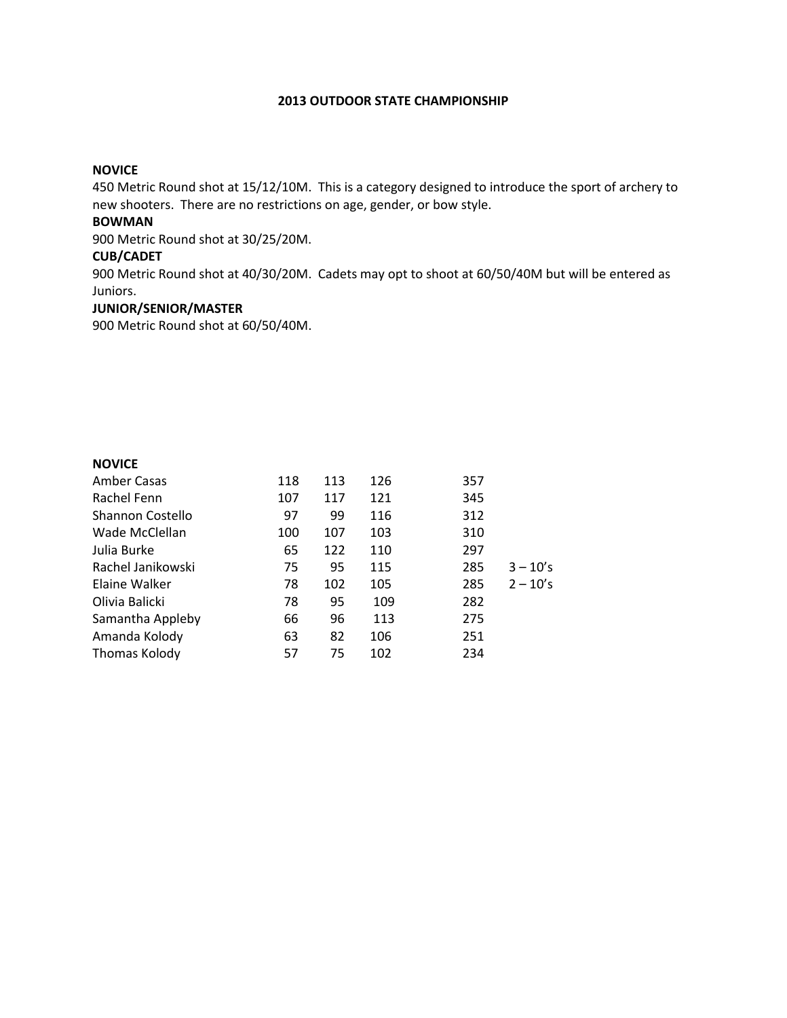### 2013 OUTDOOR STATE CHAMPIONSHIP

## NOVICE

450 Metric Round shot at 15/12/10M. This is a category designed to introduce the sport of archery to new shooters. There are no restrictions on age, gender, or bow style.

## BOWMAN

900 Metric Round shot at 30/25/20M.

#### CUB/CADET

900 Metric Round shot at 40/30/20M. Cadets may opt to shoot at 60/50/40M but will be entered as Juniors.

### JUNIOR/SENIOR/MASTER

900 Metric Round shot at 60/50/40M.

#### NOVICE

| Amber Casas       | 118 | 113 | 126 | 357 |            |
|-------------------|-----|-----|-----|-----|------------|
| Rachel Fenn       | 107 | 117 | 121 | 345 |            |
| Shannon Costello  | 97  | 99  | 116 | 312 |            |
| Wade McClellan    | 100 | 107 | 103 | 310 |            |
| Julia Burke       | 65  | 122 | 110 | 297 |            |
| Rachel Janikowski | 75  | 95  | 115 | 285 | $3 - 10's$ |
| Elaine Walker     | 78  | 102 | 105 | 285 | $2 - 10's$ |
| Olivia Balicki    | 78  | 95  | 109 | 282 |            |
| Samantha Appleby  | 66  | 96  | 113 | 275 |            |
| Amanda Kolody     | 63  | 82  | 106 | 251 |            |
| Thomas Kolody     | 57  | 75  | 102 | 234 |            |
|                   |     |     |     |     |            |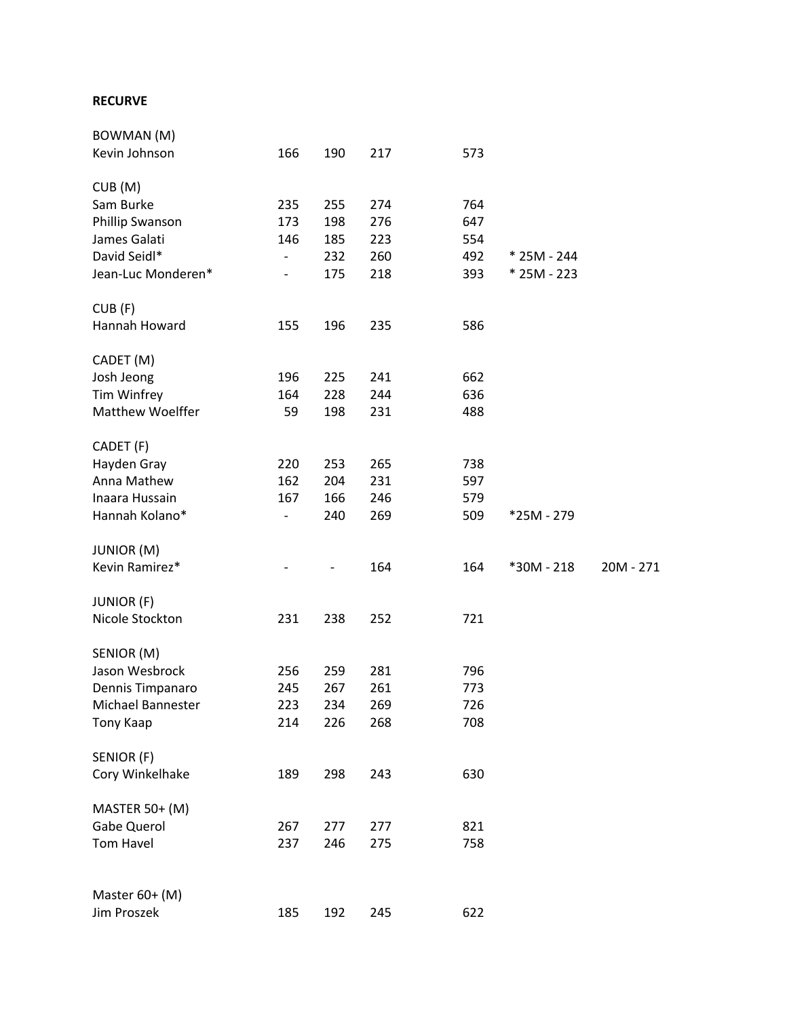# RECURVE

| BOWMAN (M)         |                              |     |     |     |             |             |
|--------------------|------------------------------|-----|-----|-----|-------------|-------------|
| Kevin Johnson      | 166                          | 190 | 217 | 573 |             |             |
| CUB(M)             |                              |     |     |     |             |             |
| Sam Burke          | 235                          | 255 | 274 | 764 |             |             |
| Phillip Swanson    | 173                          | 198 | 276 | 647 |             |             |
| James Galati       | 146                          | 185 | 223 | 554 |             |             |
| David Seidl*       | $\qquad \qquad -$            | 232 | 260 | 492 | * 25M - 244 |             |
| Jean-Luc Monderen* | $\overline{\phantom{0}}$     | 175 | 218 | 393 | * 25M - 223 |             |
| CUB(F)             |                              |     |     |     |             |             |
| Hannah Howard      | 155                          | 196 | 235 | 586 |             |             |
| CADET (M)          |                              |     |     |     |             |             |
| Josh Jeong         | 196                          | 225 | 241 | 662 |             |             |
| Tim Winfrey        | 164                          | 228 | 244 | 636 |             |             |
| Matthew Woelffer   | 59                           | 198 | 231 | 488 |             |             |
| CADET (F)          |                              |     |     |     |             |             |
| Hayden Gray        | 220                          | 253 | 265 | 738 |             |             |
| Anna Mathew        | 162                          | 204 | 231 | 597 |             |             |
| Inaara Hussain     | 167                          | 166 | 246 | 579 |             |             |
| Hannah Kolano*     | $\qquad \qquad \blacksquare$ | 240 | 269 | 509 | *25M - 279  |             |
| <b>JUNIOR (M)</b>  |                              |     |     |     |             |             |
| Kevin Ramirez*     |                              |     | 164 | 164 | *30M - 218  | $20M - 271$ |
| <b>JUNIOR (F)</b>  |                              |     |     |     |             |             |
| Nicole Stockton    | 231                          | 238 | 252 | 721 |             |             |
| SENIOR (M)         |                              |     |     |     |             |             |
| Jason Wesbrock     | 256                          | 259 | 281 | 796 |             |             |
| Dennis Timpanaro   | 245                          | 267 | 261 | 773 |             |             |
| Michael Bannester  | 223                          | 234 | 269 | 726 |             |             |
| <b>Tony Kaap</b>   | 214                          | 226 | 268 | 708 |             |             |
| SENIOR (F)         |                              |     |     |     |             |             |
| Cory Winkelhake    | 189                          | 298 | 243 | 630 |             |             |
| MASTER 50+ (M)     |                              |     |     |     |             |             |
| Gabe Querol        | 267                          | 277 | 277 | 821 |             |             |
| Tom Havel          | 237                          | 246 | 275 | 758 |             |             |
| Master 60+ (M)     |                              |     |     |     |             |             |
| Jim Proszek        | 185                          | 192 | 245 | 622 |             |             |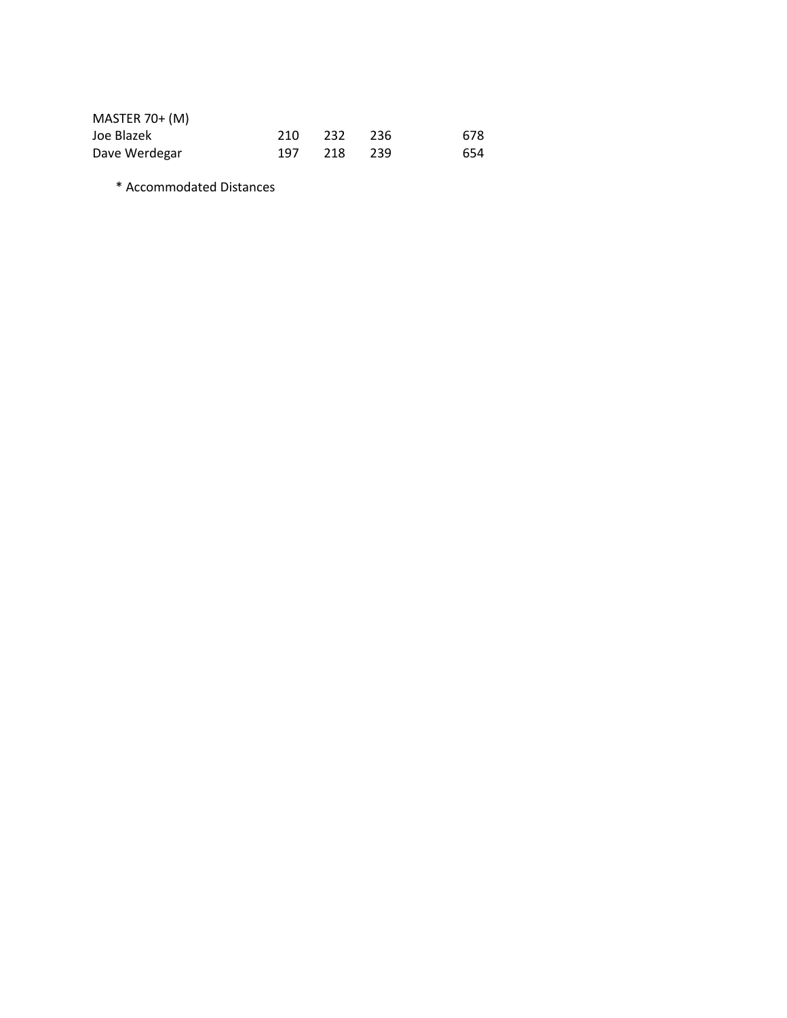| $MASTER 70+ (M)$ |     |         |      |     |
|------------------|-----|---------|------|-----|
| Joe Blazek       | 210 | 232 236 |      | 678 |
| Dave Werdegar    | 197 | 218     | -239 | 654 |

\* Accommodated Distances